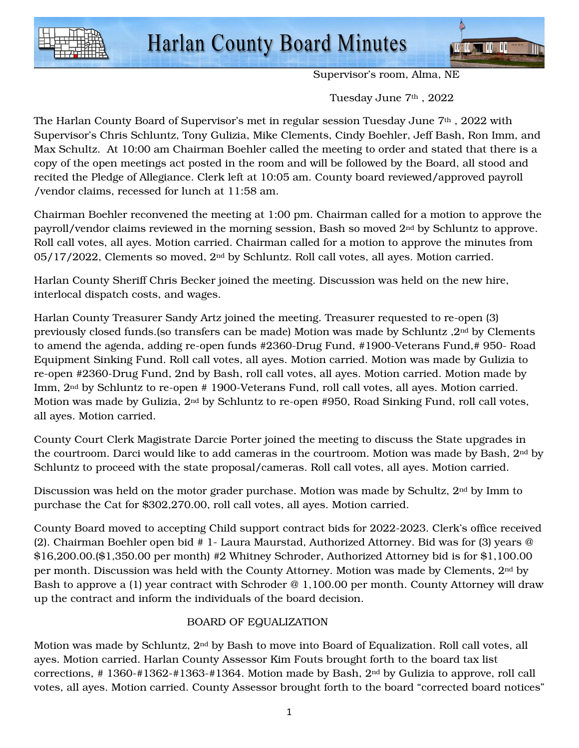

Supervisor's room, Alma, NE

Tuesday June 7<sup>th</sup>, 2022

The Harlan County Board of Supervisor's met in regular session Tuesday June 7<sup>th</sup>, 2022 with Supervisor's Chris Schluntz, Tony Gulizia, Mike Clements, Cindy Boehler, Jeff Bash, Ron Imm, and Max Schultz. At 10:00 am Chairman Boehler called the meeting to order and stated that there is a copy of the open meetings act posted in the room and will be followed by the Board, all stood and recited the Pledge of Allegiance. Clerk left at 10:05 am. County board reviewed/approved payroll /vendor claims, recessed for lunch at 11:58 am.

Chairman Boehler reconvened the meeting at 1:00 pm. Chairman called for a motion to approve the payroll/vendor claims reviewed in the morning session, Bash so moved 2nd by Schluntz to approve. Roll call votes, all ayes. Motion carried. Chairman called for a motion to approve the minutes from 05/17/2022, Clements so moved, 2nd by Schluntz. Roll call votes, all ayes. Motion carried.

Harlan County Sheriff Chris Becker joined the meeting. Discussion was held on the new hire, interlocal dispatch costs, and wages.

Harlan County Treasurer Sandy Artz joined the meeting. Treasurer requested to re-open (3) previously closed funds.(so transfers can be made) Motion was made by Schluntz ,2nd by Clements to amend the agenda, adding re-open funds #2360-Drug Fund, #1900-Veterans Fund,# 950- Road Equipment Sinking Fund. Roll call votes, all ayes. Motion carried. Motion was made by Gulizia to re-open #2360-Drug Fund, 2nd by Bash, roll call votes, all ayes. Motion carried. Motion made by Imm, 2nd by Schluntz to re-open # 1900-Veterans Fund, roll call votes, all ayes. Motion carried. Motion was made by Gulizia, 2nd by Schluntz to re-open #950, Road Sinking Fund, roll call votes, all ayes. Motion carried.

County Court Clerk Magistrate Darcie Porter joined the meeting to discuss the State upgrades in the courtroom. Darci would like to add cameras in the courtroom. Motion was made by Bash, 2nd by Schluntz to proceed with the state proposal/cameras. Roll call votes, all ayes. Motion carried.

Discussion was held on the motor grader purchase. Motion was made by Schultz,  $2<sup>nd</sup>$  by Imm to purchase the Cat for \$302,270.00, roll call votes, all ayes. Motion carried.

County Board moved to accepting Child support contract bids for 2022-2023. Clerk's office received (2). Chairman Boehler open bid # 1- Laura Maurstad, Authorized Attorney. Bid was for (3) years @ \$16,200.00.(\$1,350.00 per month) #2 Whitney Schroder, Authorized Attorney bid is for \$1,100.00 per month. Discussion was held with the County Attorney. Motion was made by Clements, 2nd by Bash to approve a (1) year contract with Schroder @ 1,100.00 per month. County Attorney will draw up the contract and inform the individuals of the board decision.

## BOARD OF EQUALIZATION

Motion was made by Schluntz, 2nd by Bash to move into Board of Equalization. Roll call votes, all ayes. Motion carried. Harlan County Assessor Kim Fouts brought forth to the board tax list corrections,  $\# 1360-\#1362-\#1363-\#1364$ . Motion made by Bash,  $2<sup>nd</sup>$  by Gulizia to approve, roll call votes, all ayes. Motion carried. County Assessor brought forth to the board "corrected board notices"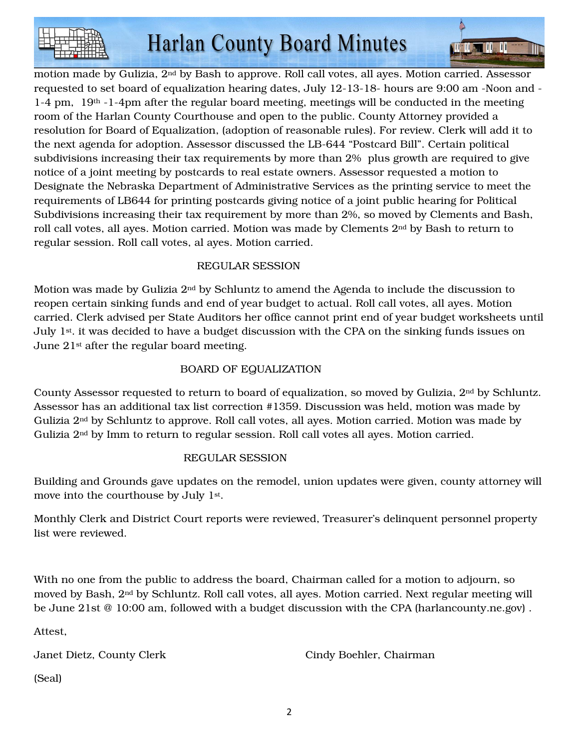

 $\blacksquare$  iii  $\blacksquare$  iii  $\blacksquare$  iii

motion made by Gulizia, 2nd by Bash to approve. Roll call votes, all ayes. Motion carried. Assessor requested to set board of equalization hearing dates, July 12-13-18- hours are 9:00 am -Noon and -  $1-4$  pm,  $19<sup>th</sup>$  -1-4pm after the regular board meeting, meetings will be conducted in the meeting room of the Harlan County Courthouse and open to the public. County Attorney provided a resolution for Board of Equalization, (adoption of reasonable rules). For review. Clerk will add it to the next agenda for adoption. Assessor discussed the LB-644 "Postcard Bill". Certain political subdivisions increasing their tax requirements by more than 2% plus growth are required to give notice of a joint meeting by postcards to real estate owners. Assessor requested a motion to Designate the Nebraska Department of Administrative Services as the printing service to meet the requirements of LB644 for printing postcards giving notice of a joint public hearing for Political Subdivisions increasing their tax requirement by more than 2%, so moved by Clements and Bash, roll call votes, all ayes. Motion carried. Motion was made by Clements 2nd by Bash to return to regular session. Roll call votes, al ayes. Motion carried.

# REGULAR SESSION

Motion was made by Gulizia  $2<sup>nd</sup>$  by Schluntz to amend the Agenda to include the discussion to reopen certain sinking funds and end of year budget to actual. Roll call votes, all ayes. Motion carried. Clerk advised per State Auditors her office cannot print end of year budget worksheets until July 1st. it was decided to have a budget discussion with the CPA on the sinking funds issues on June 21st after the regular board meeting.

# BOARD OF EQUALIZATION

County Assessor requested to return to board of equalization, so moved by Gulizia, 2nd by Schluntz. Assessor has an additional tax list correction #1359. Discussion was held, motion was made by Gulizia 2nd by Schluntz to approve. Roll call votes, all ayes. Motion carried. Motion was made by Gulizia 2nd by Imm to return to regular session. Roll call votes all ayes. Motion carried.

## REGULAR SESSION

Building and Grounds gave updates on the remodel, union updates were given, county attorney will move into the courthouse by July 1st.

Monthly Clerk and District Court reports were reviewed, Treasurer's delinquent personnel property list were reviewed.

With no one from the public to address the board, Chairman called for a motion to adjourn, so moved by Bash, 2<sup>nd</sup> by Schluntz. Roll call votes, all ayes. Motion carried. Next regular meeting will be June 21st @ 10:00 am, followed with a budget discussion with the CPA (harlancounty.ne.gov) .

Attest,

Janet Dietz, County Clerk Cindy Boehler, Chairman

(Seal)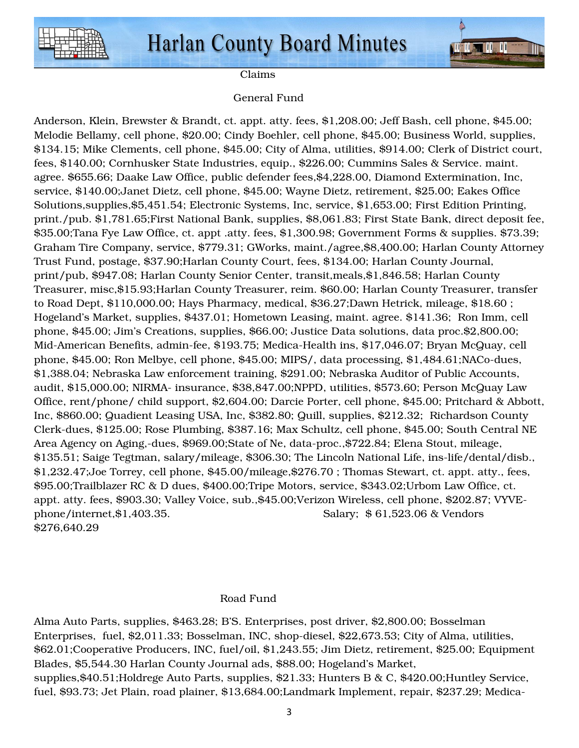



Claims

#### General Fund

Anderson, Klein, Brewster & Brandt, ct. appt. atty. fees, \$1,208.00; Jeff Bash, cell phone, \$45.00; Melodie Bellamy, cell phone, \$20.00; Cindy Boehler, cell phone, \$45.00; Business World, supplies, \$134.15; Mike Clements, cell phone, \$45.00; City of Alma, utilities, \$914.00; Clerk of District court, fees, \$140.00; Cornhusker State Industries, equip., \$226.00; Cummins Sales & Service. maint. agree. \$655.66; Daake Law Office, public defender fees,\$4,228.00, Diamond Extermination, Inc, service, \$140.00;Janet Dietz, cell phone, \$45.00; Wayne Dietz, retirement, \$25.00; Eakes Office Solutions,supplies,\$5,451.54; Electronic Systems, Inc, service, \$1,653.00; First Edition Printing, print./pub. \$1,781.65;First National Bank, supplies, \$8,061.83; First State Bank, direct deposit fee, \$35.00;Tana Fye Law Office, ct. appt .atty. fees, \$1,300.98; Government Forms & supplies. \$73.39; Graham Tire Company, service, \$779.31; GWorks, maint./agree,\$8,400.00; Harlan County Attorney Trust Fund, postage, \$37.90;Harlan County Court, fees, \$134.00; Harlan County Journal, print/pub, \$947.08; Harlan County Senior Center, transit,meals,\$1,846.58; Harlan County Treasurer, misc,\$15.93;Harlan County Treasurer, reim. \$60.00; Harlan County Treasurer, transfer to Road Dept, \$110,000.00; Hays Pharmacy, medical, \$36.27;Dawn Hetrick, mileage, \$18.60 ; Hogeland's Market, supplies, \$437.01; Hometown Leasing, maint. agree. \$141.36; Ron Imm, cell phone, \$45.00; Jim's Creations, supplies, \$66.00; Justice Data solutions, data proc.\$2,800.00; Mid-American Benefits, admin-fee, \$193.75; Medica-Health ins, \$17,046.07; Bryan McQuay, cell phone, \$45.00; Ron Melbye, cell phone, \$45.00; MIPS/, data processing, \$1,484.61;NACo-dues, \$1,388.04; Nebraska Law enforcement training, \$291.00; Nebraska Auditor of Public Accounts, audit, \$15,000.00; NIRMA- insurance, \$38,847.00;NPPD, utilities, \$573.60; Person McQuay Law Office, rent/phone/ child support, \$2,604.00; Darcie Porter, cell phone, \$45.00; Pritchard & Abbott, Inc, \$860.00; Quadient Leasing USA, Inc, \$382.80; Quill, supplies, \$212.32; Richardson County Clerk-dues, \$125.00; Rose Plumbing, \$387.16; Max Schultz, cell phone, \$45.00; South Central NE Area Agency on Aging,-dues, \$969.00;State of Ne, data-proc.,\$722.84; Elena Stout, mileage, \$135.51; Saige Tegtman, salary/mileage, \$306.30; The Lincoln National Life, ins-life/dental/disb., \$1,232.47;Joe Torrey, cell phone, \$45.00/mileage,\$276.70 ; Thomas Stewart, ct. appt. atty., fees, \$95.00;Trailblazer RC & D dues, \$400.00;Tripe Motors, service, \$343.02;Urbom Law Office, ct. appt. atty. fees, \$903.30; Valley Voice, sub.,\$45.00;Verizon Wireless, cell phone, \$202.87; VYVEphone/internet,\$1,403.35. Salary; \$ 61,523.06 & Vendors \$276,640.29

#### Road Fund

Alma Auto Parts, supplies, \$463.28; B'S. Enterprises, post driver, \$2,800.00; Bosselman Enterprises, fuel, \$2,011.33; Bosselman, INC, shop-diesel, \$22,673.53; City of Alma, utilities, \$62.01;Cooperative Producers, INC, fuel/oil, \$1,243.55; Jim Dietz, retirement, \$25.00; Equipment Blades, \$5,544.30 Harlan County Journal ads, \$88.00; Hogeland's Market, supplies,\$40.51;Holdrege Auto Parts, supplies, \$21.33; Hunters B & C, \$420.00;Huntley Service, fuel, \$93.73; Jet Plain, road plainer, \$13,684.00;Landmark Implement, repair, \$237.29; Medica-